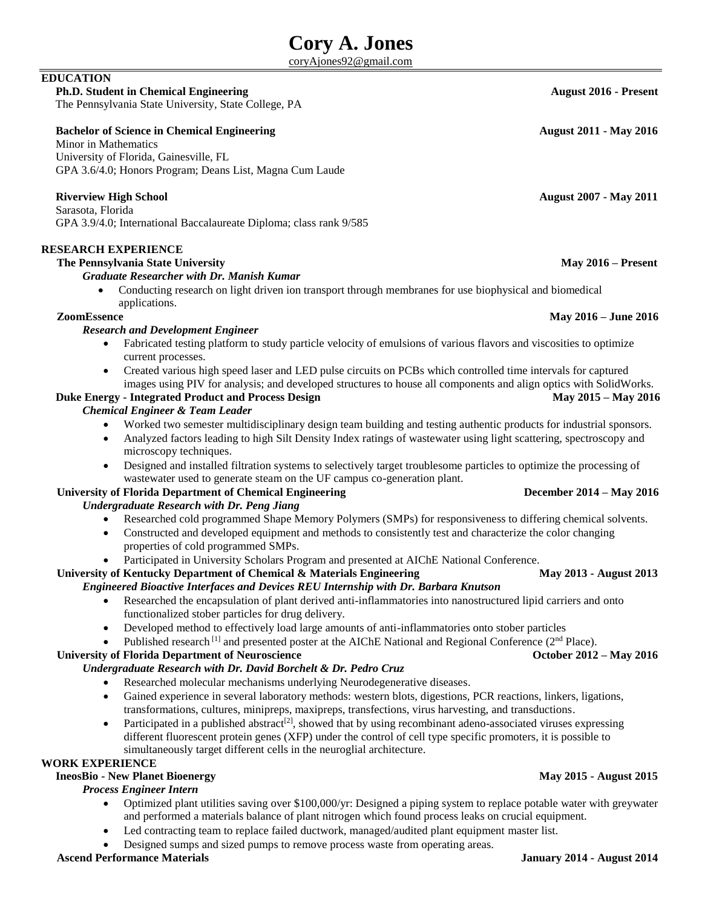# **Cory A. Jones**

[coryAjones92@gmail.com](mailto:coryAjones92@gmail.com)

# **EDUCATION**

**Ph.D. Student in Chemical Engineering August 2016 - Present** The Pennsylvania State University, State College, PA

# **Bachelor of Science in Chemical Engineering August 2011 - May 2016**

Minor in Mathematics University of Florida, Gainesville, FL GPA 3.6/4.0; Honors Program; Deans List, Magna Cum Laude

# **Riverview High School August 2007 - May 2011**

 Sarasota, Florida GPA 3.9/4.0; International Baccalaureate Diploma; class rank 9/585

## **RESEARCH EXPERIENCE**

### **The Pennsylvania State University May 2016 – Present**

#### *Graduate Researcher with Dr. Manish Kumar*

 Conducting research on light driven ion transport through membranes for use biophysical and biomedical applications.

#### **ZoomEssence May 2016 – June 2016**

#### *Research and Development Engineer*

- Fabricated testing platform to study particle velocity of emulsions of various flavors and viscosities to optimize current processes.
- Created various high speed laser and LED pulse circuits on PCBs which controlled time intervals for captured images using PIV for analysis; and developed structures to house all components and align optics with SolidWorks.

### **Duke Energy - Integrated Product and Process Design May 2015 – May 2016** May 2015 – May 2016

### *Chemical Engineer & Team Leader*

- Worked two semester multidisciplinary design team building and testing authentic products for industrial sponsors.
- Analyzed factors leading to high Silt Density Index ratings of wastewater using light scattering, spectroscopy and microscopy techniques.
- Designed and installed filtration systems to selectively target troublesome particles to optimize the processing of wastewater used to generate steam on the UF campus co-generation plant.

#### **University of Florida Department of Chemical Engineering December 2014 – May 2016** *Undergraduate Research with Dr. Peng Jiang*

- Researched cold programmed Shape Memory Polymers (SMPs) for responsiveness to differing chemical solvents.
- Constructed and developed equipment and methods to consistently test and characterize the color changing properties of cold programmed SMPs.
- Participated in University Scholars Program and presented at AIChE National Conference.

# **University of Kentucky Department of Chemical & Materials Engineering May 2013 - August 2013**

# *Engineered Bioactive Interfaces and Devices REU Internship with Dr. Barbara Knutson*

- Researched the encapsulation of plant derived anti-inflammatories into nanostructured lipid carriers and onto functionalized stober particles for drug delivery.
- Developed method to effectively load large amounts of anti-inflammatories onto stober particles
- Published research  $^{[1]}$  and presented poster at the AIChE National and Regional Conference ( $2^{nd}$  Place).

### **University of Florida Department of Neuroscience October 2012 – May 2016**

# *Undergraduate Research with Dr. David Borchelt & Dr. Pedro Cruz*

- Researched molecular mechanisms underlying Neurodegenerative diseases.
- Gained experience in several laboratory methods: western blots, digestions, PCR reactions, linkers, ligations, transformations, cultures, minipreps, maxipreps, transfections, virus harvesting, and transductions.
- Participated in a published abstract<sup>[2]</sup>, showed that by using recombinant adeno-associated viruses expressing different fluorescent protein genes (XFP) under the control of cell type specific promoters, it is possible to simultaneously target different cells in the neuroglial architecture.

# **WORK EXPERIENCE**

# **IneosBio - New Planet Bioenergy May 2015 - August 2015**

# *Process Engineer Intern*

- Optimized plant utilities saving over \$100,000/yr: Designed a piping system to replace potable water with greywater and performed a materials balance of plant nitrogen which found process leaks on crucial equipment.
	- Led contracting team to replace failed ductwork, managed/audited plant equipment master list.
- Designed sumps and sized pumps to remove process waste from operating areas.

# **Ascend Performance Materials January 2014 - August 2014**

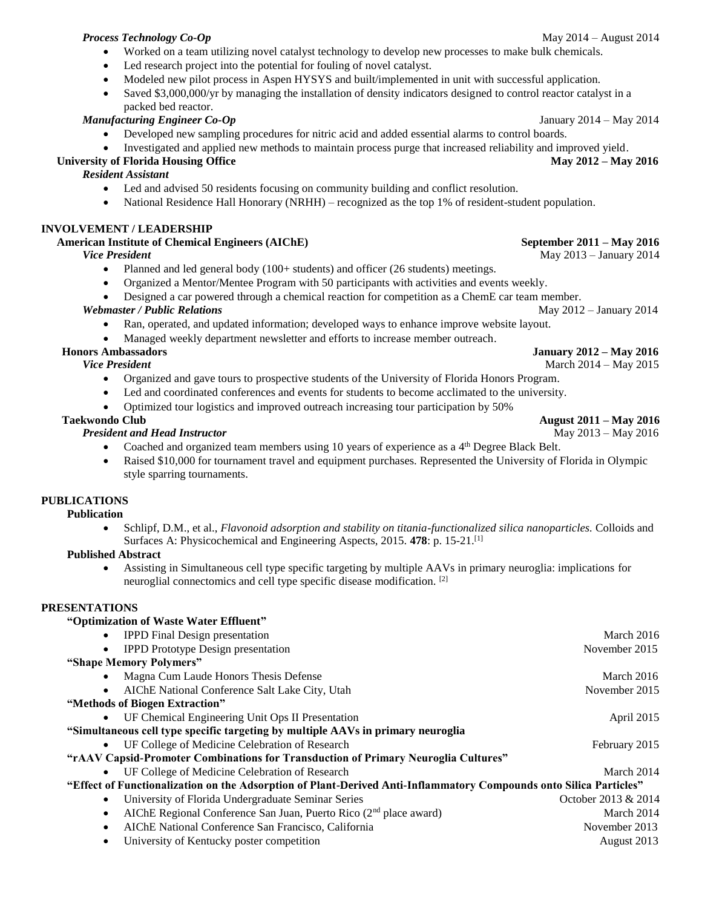### *Process Technology Co-Op*May 2014 – August 2014

- Worked on a team utilizing novel catalyst technology to develop new processes to make bulk chemicals.
- Led research project into the potential for fouling of novel catalyst.
- Modeled new pilot process in Aspen HYSYS and built/implemented in unit with successful application.
- Saved \$3,000,000/yr by managing the installation of density indicators designed to control reactor catalyst in a packed bed reactor.

# *Manufacturing Engineer Co-Op* January 2014 – May 2014

- Developed new sampling procedures for nitric acid and added essential alarms to control boards.
- Investigated and applied new methods to maintain process purge that increased reliability and improved yield.

# **University of Florida Housing Office May 2012 – May 2016**

# *Resident Assistant*

- Led and advised 50 residents focusing on community building and conflict resolution.
- National Residence Hall Honorary (NRHH) recognized as the top 1% of resident-student population.

# **INVOLVEMENT / LEADERSHIP**

# **American Institute of Chemical Engineers (AIChE) September 2011 – May 2016**

### *Vice President* **May 2013 – January 2014**

- Planned and led general body (100+ students) and officer (26 students) meetings.
- Organized a Mentor/Mentee Program with 50 participants with activities and events weekly.
- Designed a car powered through a chemical reaction for competition as a ChemE car team member.

## *Webmaster / Public Relations May 2012 – January 2014*

- Ran, operated, and updated information; developed ways to enhance improve website layout.
- Managed weekly department newsletter and efforts to increase member outreach.

## **Honors Ambassadors January 2012 – May 2016**

- Organized and gave tours to prospective students of the University of Florida Honors Program.
- Led and coordinated conferences and events for students to become acclimated to the university.
- Optimized tour logistics and improved outreach increasing tour participation by 50%

## *President and Head Instructor* **May 2013 – May 2016**

- Coached and organized team members using 10 years of experience as a 4<sup>th</sup> Degree Black Belt.
- Raised \$10,000 for tournament travel and equipment purchases. Represented the University of Florida in Olympic style sparring tournaments.

# **PUBLICATIONS**

### **Publication**

 Schlipf, D.M., et al., *Flavonoid adsorption and stability on titania-functionalized silica nanoparticles.* Colloids and Surfaces A: Physicochemical and Engineering Aspects, 2015. **478**: p. 15-21.[1]

### **Published Abstract**

 Assisting in Simultaneous cell type specific targeting by multiple AAVs in primary neuroglia: implications for neuroglial connectomics and cell type specific disease modification. [2]

# **PRESENTATIONS**

| "Optimization of Waste Water Effluent"                                                                             |                     |  |
|--------------------------------------------------------------------------------------------------------------------|---------------------|--|
| <b>IPPD</b> Final Design presentation<br>$\bullet$                                                                 | March 2016          |  |
| <b>IPPD</b> Prototype Design presentation<br>$\bullet$                                                             | November 2015       |  |
| "Shape Memory Polymers"                                                                                            |                     |  |
| Magna Cum Laude Honors Thesis Defense<br>$\bullet$                                                                 | March 2016          |  |
| AIChE National Conference Salt Lake City, Utah<br>$\bullet$                                                        | November 2015       |  |
| "Methods of Biogen Extraction"                                                                                     |                     |  |
| UF Chemical Engineering Unit Ops II Presentation<br>$\bullet$                                                      | April 2015          |  |
| "Simultaneous cell type specific targeting by multiple AAVs in primary neuroglia                                   |                     |  |
| UF College of Medicine Celebration of Research<br>$\bullet$                                                        | February 2015       |  |
| "rAAV Capsid-Promoter Combinations for Transduction of Primary Neuroglia Cultures"                                 |                     |  |
| UF College of Medicine Celebration of Research<br>$\bullet$                                                        | March 2014          |  |
| "Effect of Functionalization on the Adsorption of Plant-Derived Anti-Inflammatory Compounds onto Silica Particles" |                     |  |
| University of Florida Undergraduate Seminar Series<br>$\bullet$                                                    | October 2013 & 2014 |  |
| AIChE Regional Conference San Juan, Puerto Rico $(2nd$ place award)<br>$\bullet$                                   | March 2014          |  |
| AIChE National Conference San Francisco, California<br>$\bullet$                                                   | November 2013       |  |
| University of Kentucky poster competition<br>$\bullet$                                                             | August 2013         |  |

# *Vice President* March 2014 – May 2015

### **Taekwondo Club August 2011 – May 2016**

- 
- 
-